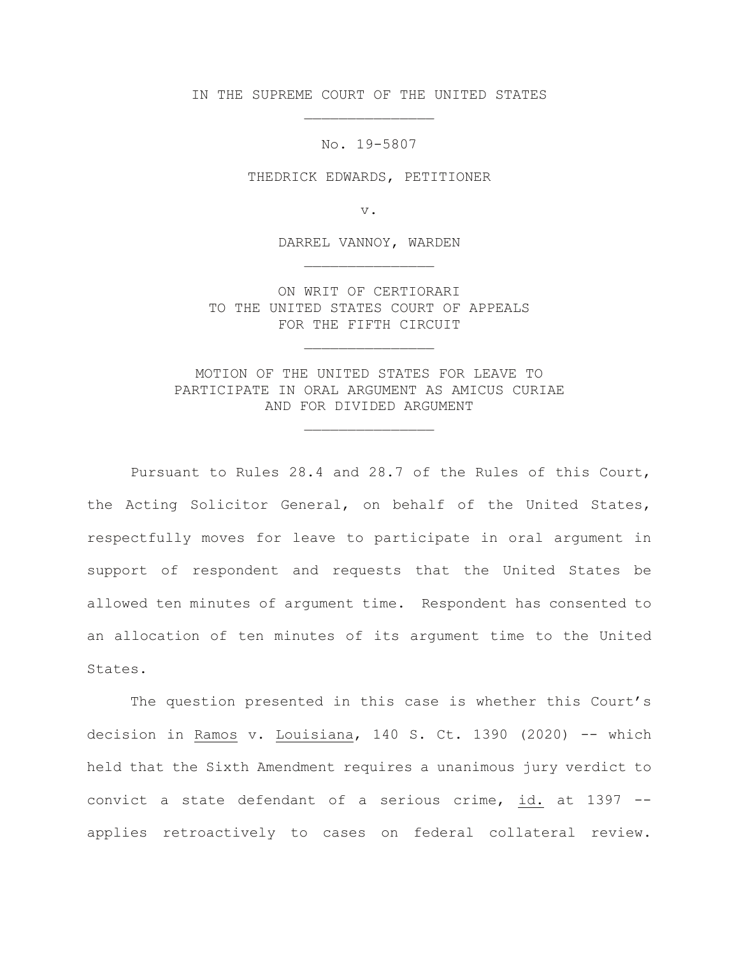IN THE SUPREME COURT OF THE UNITED STATES \_\_\_\_\_\_\_\_\_\_\_\_\_\_\_

No. 19-5807

THEDRICK EDWARDS, PETITIONER

v.

DARREL VANNOY, WARDEN \_\_\_\_\_\_\_\_\_\_\_\_\_\_\_

ON WRIT OF CERTIORARI TO THE UNITED STATES COURT OF APPEALS FOR THE FIFTH CIRCUIT

\_\_\_\_\_\_\_\_\_\_\_\_\_\_\_

MOTION OF THE UNITED STATES FOR LEAVE TO PARTICIPATE IN ORAL ARGUMENT AS AMICUS CURIAE AND FOR DIVIDED ARGUMENT

\_\_\_\_\_\_\_\_\_\_\_\_\_\_\_

Pursuant to Rules 28.4 and 28.7 of the Rules of this Court, the Acting Solicitor General, on behalf of the United States, respectfully moves for leave to participate in oral argument in support of respondent and requests that the United States be allowed ten minutes of argument time. Respondent has consented to an allocation of ten minutes of its argument time to the United States.

The question presented in this case is whether this Court's decision in Ramos v. Louisiana, 140 S. Ct. 1390 (2020) -- which held that the Sixth Amendment requires a unanimous jury verdict to convict a state defendant of a serious crime, id. at 1397 - applies retroactively to cases on federal collateral review.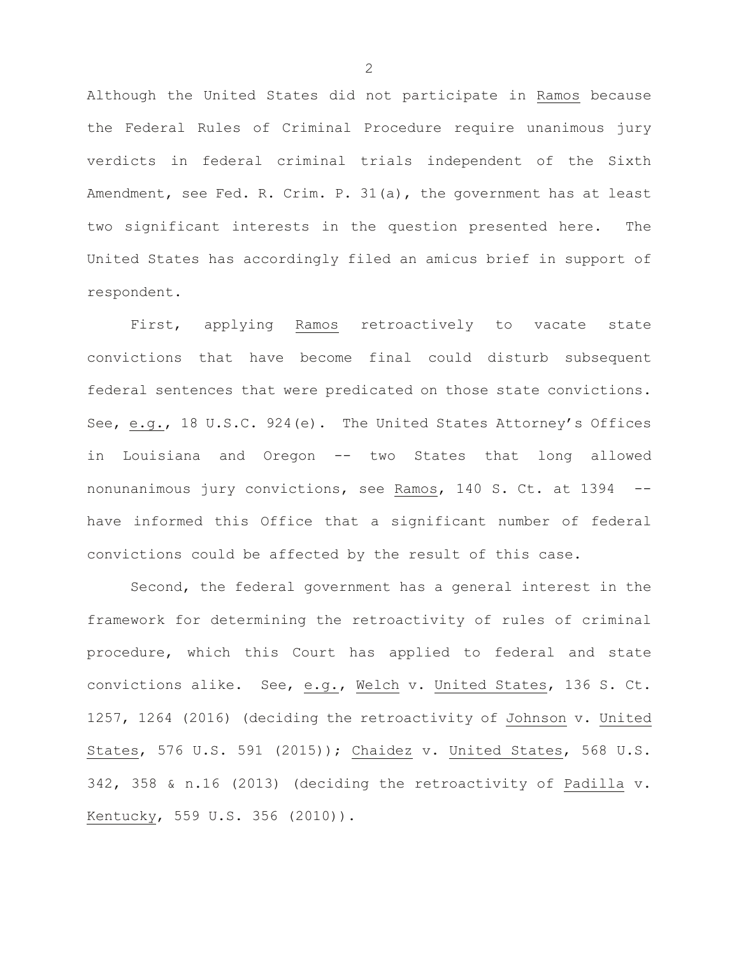Although the United States did not participate in Ramos because the Federal Rules of Criminal Procedure require unanimous jury verdicts in federal criminal trials independent of the Sixth Amendment, see Fed. R. Crim. P. 31(a), the government has at least two significant interests in the question presented here. The United States has accordingly filed an amicus brief in support of respondent.

First, applying Ramos retroactively to vacate state convictions that have become final could disturb subsequent federal sentences that were predicated on those state convictions. See, e.g., 18 U.S.C. 924(e). The United States Attorney's Offices in Louisiana and Oregon -- two States that long allowed nonunanimous jury convictions, see Ramos, 140 S. Ct. at 1394 - have informed this Office that a significant number of federal convictions could be affected by the result of this case.

Second, the federal government has a general interest in the framework for determining the retroactivity of rules of criminal procedure, which this Court has applied to federal and state convictions alike. See, e.g., Welch v. United States, 136 S. Ct. 1257, 1264 (2016) (deciding the retroactivity of Johnson v. United States, 576 U.S. 591 (2015)); Chaidez v. United States, 568 U.S. 342, 358 & n.16 (2013) (deciding the retroactivity of Padilla v. Kentucky, 559 U.S. 356 (2010)).

2